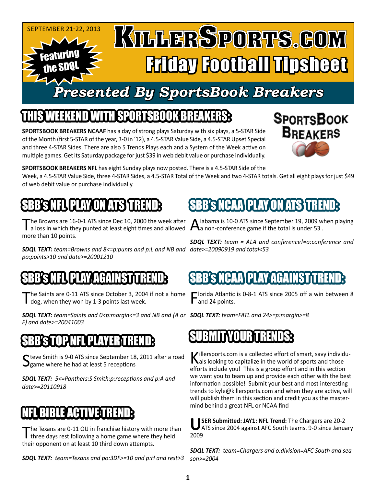#### SEPTEMBER 21-22, 2013 KULLERSPORTS.GOM Featuring Friday Football Tipsheet the SDQL

# *Presented By SportsBook Breakers*

## IEEKEND WITH SPORTSBOOK BREA

**SPORTSBOOK BREAKERS NCAAF** has a day of strong plays Saturday with six plays, a 5-STAR Side of the Month (first 5-STAR of the year, 3-0 in '12), a 4.5-STAR Value Side, a 4.5-STAR Upset Special and three 4-STAR Sides. There are also 5 Trends Plays each and a System of the Week active on multiple games. Get its Saturday package for just \$39 in web debit value or purchase individually.



**SPORTSBOOK BREAKERS NFL** has eight Sunday plays now posted. There is a 4.5-STAR Side of the

Week, a 4.5-STAR Value Side, three 4-STAR Sides, a 4.5-STAR Total of the Week and two 4-STAR totals. Get all eight plays for just \$49 of web debit value or purchase individually.

# BB'S NELLELAY ON ATS

The Browns are 16-0-1 ATS since Dec 10, 2000 the week after<br>a loss in which they punted at least eight times and allowed more than 10 points.

*date>=20090919 and total<53 SDQL TEXT: team=Browns and 8<=p:punts and p:L and NB and po:points>10 and date>=20001210* 

## SBBSNEL PLAY AGAINST TREND

he Saints are 0-11 ATS since October 3, 2004 if not a home I dog, when they won by 1-3 points last week.

*SDQL TEXT: team=FATL and 24>=p:margin>=8 SDQL TEXT: team=Saints and 0<p:margin<=3 and NB and (A or F) and date>=20041003*

#### IN EUPLAY

C teve Smith is 9-0 ATS since September 18, 2011 after a road  $\mathbf{Q}$ game where he had at least 5 receptions

*SDQL TEXT: 5<=Panthers:S Smith:p:receptions and p:A and date>=20110918*

## NFL BIBLE ACTIVE TREND:

The Texans are 0-11 OU in franchise history with more than<br>three days rest following a home game where they held their opponent on at least 10 third down attempts.

*SDQL TEXT: team=Texans and po:3DF>=10 and p:H and rest>3*

labama is 10-0 ATS since September 19, 2009 when playing **L** a non-conference game if the total is under 53.

*SDQL TEXT: team = ALA and conference!=o:conference and* 

### PLAY/AGA

Florida Atlantic is 0-8-1 ATS since 2005 off a win between 8 and 24 points.

#### SUBMITYOUR TRENDS:

BB'S NCAA\PLAY ON

Killersports.com is a collected effort of smart, savy individu-<br>
als looking to capitalize in the world of sports and those efforts include you! This is a group effort and in this section we want you to team up and provide each other with the best information possible! Submit your best and most interesting trends to kyle@killersports.com and when they are active, will will publish them in this section and credit you as the mastermind behind a great NFL or NCAA find

USER Submitted: JAY1: NFL Trend: The Chargers are 20-2<br>ATS since 2004 against AFC South teams. 9-0 since January 2009

*SDQL TEXT: team=Chargers and o:division=AFC South and season>=2004*